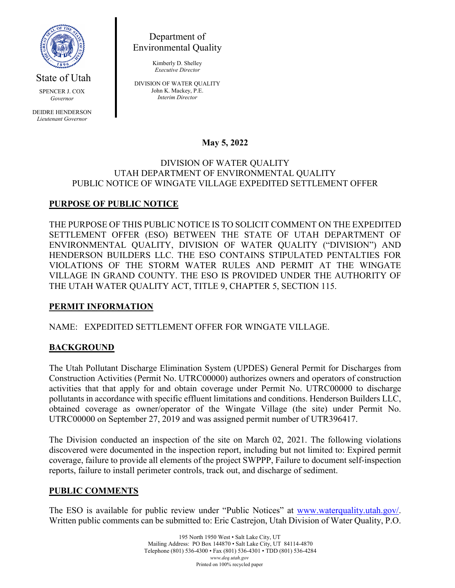

State of Utah

SPENCER J. COX *Governor*

DEIDRE HENDERSON *Lieutenant Governor*

Department of Environmental Quality

> Kimberly D. Shelley *Executive Director*

DIVISION OF WATER QUALITY John K. Mackey, P.E. *Interim Director*

# **May 5, 2022**

#### DIVISION OF WATER QUALITY UTAH DEPARTMENT OF ENVIRONMENTAL QUALITY PUBLIC NOTICE OF WINGATE VILLAGE EXPEDITED SETTLEMENT OFFER

# **PURPOSE OF PUBLIC NOTICE**

THE PURPOSE OF THIS PUBLIC NOTICE IS TO SOLICIT COMMENT ON THE EXPEDITED SETTLEMENT OFFER (ESO) BETWEEN THE STATE OF UTAH DEPARTMENT OF ENVIRONMENTAL QUALITY, DIVISION OF WATER QUALITY ("DIVISION") AND HENDERSON BUILDERS LLC. THE ESO CONTAINS STIPULATED PENTALTIES FOR VIOLATIONS OF THE STORM WATER RULES AND PERMIT AT THE WINGATE VILLAGE IN GRAND COUNTY. THE ESO IS PROVIDED UNDER THE AUTHORITY OF THE UTAH WATER QUALITY ACT, TITLE 9, CHAPTER 5, SECTION 115.

## **PERMIT INFORMATION**

NAME: EXPEDITED SETTLEMENT OFFER FOR WINGATE VILLAGE.

## **BACKGROUND**

The Utah Pollutant Discharge Elimination System (UPDES) General Permit for Discharges from Construction Activities (Permit No. UTRC00000) authorizes owners and operators of construction activities that that apply for and obtain coverage under Permit No. UTRC00000 to discharge pollutants in accordance with specific effluent limitations and conditions. Henderson Builders LLC, obtained coverage as owner/operator of the Wingate Village (the site) under Permit No. UTRC00000 on September 27, 2019 and was assigned permit number of UTR396417.

The Division conducted an inspection of the site on March 02, 2021. The following violations discovered were documented in the inspection report, including but not limited to: Expired permit coverage, failure to provide all elements of the project SWPPP, Failure to document self-inspection reports, failure to install perimeter controls, track out, and discharge of sediment.

#### **PUBLIC COMMENTS**

The ESO is available for public review under "Public Notices" at [www.waterquality.utah.gov/.](http://www.waterquality.utah.gov/) Written public comments can be submitted to: Eric Castrejon, Utah Division of Water Quality, P.O.

> 195 North 1950 West • Salt Lake City, UT Mailing Address: PO Box 144870 • Salt Lake City, UT 84114-4870 Telephone (801) 536-4300 • Fax (801) 536-4301 • TDD (801) 536-4284 *www.deq.utah.gov* Printed on 100% recycled paper